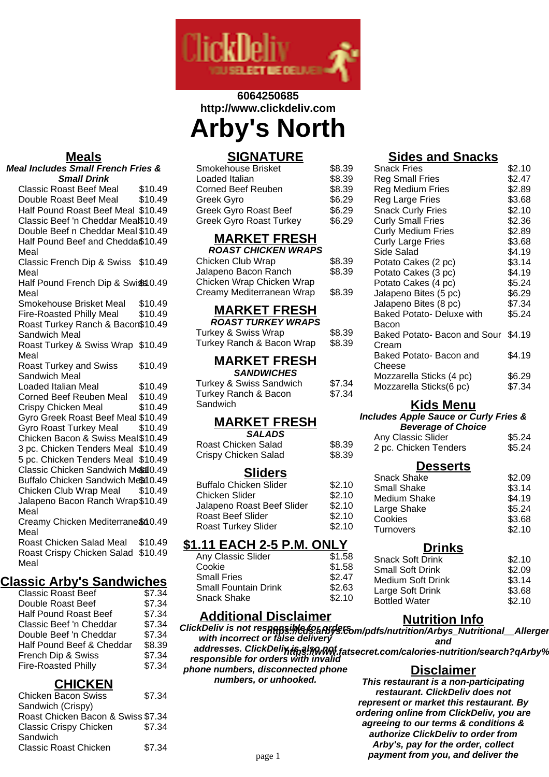

# **6064250685 http://www.clickdeliv.com Arby's North**

#### **Meals**

#### **Meal Includes Small French Fries & Small Drink**

Classic Roast Beef Meal \$10.49<br>Double Roast Beef Meal \$10.49 Double Roast Beef Meal Half Pound Roast Beef Meal \$10.49 Classic Beef 'n Cheddar Meal\$10.49 Double Beef n Cheddar Meal \$10.49 Half Pound Beef and Chedda\$10.49 Meal Classic French Dip & Swiss \$10.49 Meal Half Pound French Dip & Swiss 0.49 Meal Smokehouse Brisket Meal \$10.49 Fire-Roasted Philly Meal \$10.49 Roast Turkey Ranch & Bacon \$10.49 Sandwich Meal Roast Turkey & Swiss Wrap \$10.49 Meal Roast Turkey and Swiss Sandwich Meal \$10.49 Loaded Italian Meal \$10.49 Corned Beef Reuben Meal \$10.49 Crispy Chicken Meal \$10.49 Gyro Greek Roast Beef Meal \$10.49 Gyro Roast Turkey Meal \$10.49 Chicken Bacon & Swiss Meal\$10.49 3 pc. Chicken Tenders Meal \$10.49 5 pc. Chicken Tenders Meal \$10.49 Classic Chicken Sandwich Meal 0.49 Buffalo Chicken Sandwich Meal 0.49 Chicken Club Wrap Meal \$10.49 Jalapeno Bacon Ranch Wrap \$10.49 Meal Creamy Chicken Mediterrane \$10.49 Meal

Roast Chicken Salad Meal \$10.49 Roast Crispy Chicken Salad \$10.49 Meal

### **Classic Arby's Sandwiches**

| <b>Classic Roast Beef</b>    | \$7.34 |
|------------------------------|--------|
| Double Roast Beef            | \$7.34 |
| <b>Half Pound Roast Beef</b> | \$7.34 |
| Classic Beef 'n Cheddar      | \$7.34 |
| Double Beef 'n Cheddar       | \$7.34 |
| Half Pound Beef & Cheddar    | \$8.39 |
| French Dip & Swiss           | \$7.34 |
| <b>Fire-Roasted Philly</b>   | \$7.34 |
|                              |        |

## **CHICKEN**

| \$7.34                             |
|------------------------------------|
|                                    |
| Roast Chicken Bacon & Swiss \$7.34 |
| \$7.34                             |
|                                    |
| \$7.34                             |
|                                    |

## **SIGNATURE**

| Smokehouse Brisket             | \$8.39 |
|--------------------------------|--------|
| Loaded Italian                 | \$8.39 |
| Corned Beef Reuben             | \$8.39 |
| Greek Gyro                     | \$6.29 |
| Greek Gyro Roast Beef          | \$6.29 |
| <b>Greek Gyro Roast Turkey</b> | \$6.29 |

# **MARKET FRESH**

| <b>ROAST CHICKEN WRAPS</b> |        |
|----------------------------|--------|
| Chicken Club Wrap          | \$8.39 |
| Jalapeno Bacon Ranch       | \$8.39 |
| Chicken Wrap Chicken Wrap  |        |
| Creamy Mediterranean Wrap  | \$8.39 |

## **MARKET FRESH**

| <b>ROAST TURKEY WRAPS</b> |        |
|---------------------------|--------|
| Turkey & Swiss Wrap       | \$8.39 |
| Turkey Ranch & Bacon Wrap | \$8.39 |

#### **MARKET FRESH SANDWICHES**

| \$7.34 |
|--------|
| \$7.34 |
|        |
|        |

#### **MARKET FRESH SALADS**

| -------              |        |
|----------------------|--------|
| Roast Chicken Salad  | \$8.39 |
| Crispy Chicken Salad | \$8.39 |

### **Sliders**

| \$2.10 |
|--------|
| \$2.10 |
| \$2.10 |
| \$2.10 |
| \$2.10 |
|        |

### **\$1.11 EACH 2-5 P.M. ONLY**

| Any Classic Slider          | \$1.58 |
|-----------------------------|--------|
| Cookie                      | \$1.58 |
| <b>Small Fries</b>          | \$2.47 |
| <b>Small Fountain Drink</b> | \$2.63 |
| Snack Shake                 | \$2.10 |
|                             |        |

### **Additional Disclaimer**

#### **ClickDeliv is not responsible for orders wheliv is not respansimed's arbys.com/pdfs/nutrition/Arbys\_Nutritional\_\_Allergen**<br>with incorrect or false delivery **and**

**addresses. ClickDeliv is also not** addresses. ClickDell**XH58!%WW.fatsecret.com/calories-nutrition/search?qArby%**<br>responsible for orders with invalid

**phone numbers, disconnected phone numbers, or unhooked.**

# **Sides and Snacks**

| <b>Snack Fries</b>                  | \$2.10 |
|-------------------------------------|--------|
| Reg Small Fries                     | \$2.47 |
| Reg Medium Fries                    | \$2.89 |
| Reg Large Fries                     | \$3.68 |
| <b>Snack Curly Fries</b>            | \$2.10 |
| <b>Curly Small Fries</b>            | \$2.36 |
| <b>Curly Medium Fries</b>           | \$2.89 |
| <b>Curly Large Fries</b>            | \$3.68 |
| Side Salad                          | \$4.19 |
| Potato Cakes (2 pc)                 | \$3.14 |
| Potato Cakes (3 pc)                 | \$4.19 |
| Potato Cakes (4 pc)                 | \$5.24 |
| Jalapeno Bites (5 pc)               | \$6.29 |
| Jalapeno Bites (8 pc)               | \$7.34 |
| <b>Baked Potato- Deluxe with</b>    | \$5.24 |
| Bacon                               |        |
| Baked Potato- Bacon and Sour \$4.19 |        |
| Cream                               |        |
| Baked Potato- Bacon and             | \$4.19 |
| Cheese                              |        |
| Mozzarella Sticks (4 pc)            | \$6.29 |
| Mozzarella Sticks(6 pc)             | \$7.34 |
|                                     |        |

### **Kids Menu**

#### **Includes Apple Sauce or Curly Fries &**

|  |  |  |  | <b>Beverage of Choice</b> |  |
|--|--|--|--|---------------------------|--|
|  |  |  |  |                           |  |

| Any Classic Slider<br>2 pc. Chicken Tenders | \$5.24<br>\$5.24 |
|---------------------------------------------|------------------|
| <b>Desserts</b>                             |                  |
| <b>Snack Shake</b>                          | \$2.09           |
| <b>Small Shake</b>                          | \$3.14           |
|                                             |                  |

|                  | .      |
|------------------|--------|
| Medium Shake     | \$4.19 |
| Large Shake      | \$5.24 |
| Cookies          | \$3.68 |
| <b>Turnovers</b> | \$2.10 |
|                  |        |

### **Drinks**

| <b>Snack Soft Drink</b>  | \$2.10 |
|--------------------------|--------|
| <b>Small Soft Drink</b>  | \$2.09 |
| <b>Medium Soft Drink</b> | \$3.14 |
| Large Soft Drink         | \$3.68 |
| <b>Bottled Water</b>     | \$2.10 |

## **Nutrition Info**

**Disclaimer This restaurant is a non-participating**

**restaurant. ClickDeliv does not represent or market this restaurant. By ordering online from ClickDeliv, you are agreeing to our terms & conditions & authorize ClickDeliv to order from Arby's, pay for the order, collect** page 1 **payment from you, and deliver the**